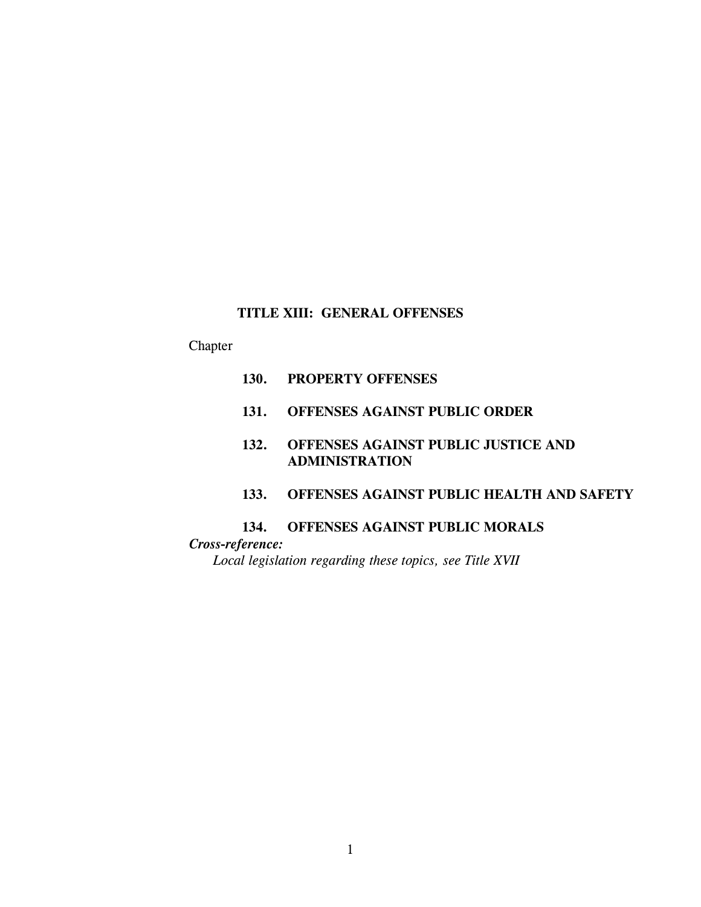### **TITLE XIII: GENERAL OFFENSES**

# Chapter

- **130. PROPERTY OFFENSES**
- **131. OFFENSES AGAINST PUBLIC ORDER**
- **132. OFFENSES AGAINST PUBLIC JUSTICE AND ADMINISTRATION**
- **133. OFFENSES AGAINST PUBLIC HEALTH AND SAFETY**

# **134. OFFENSES AGAINST PUBLIC MORALS**

*Cross-reference: Local legislation regarding these topics, see Title XVII*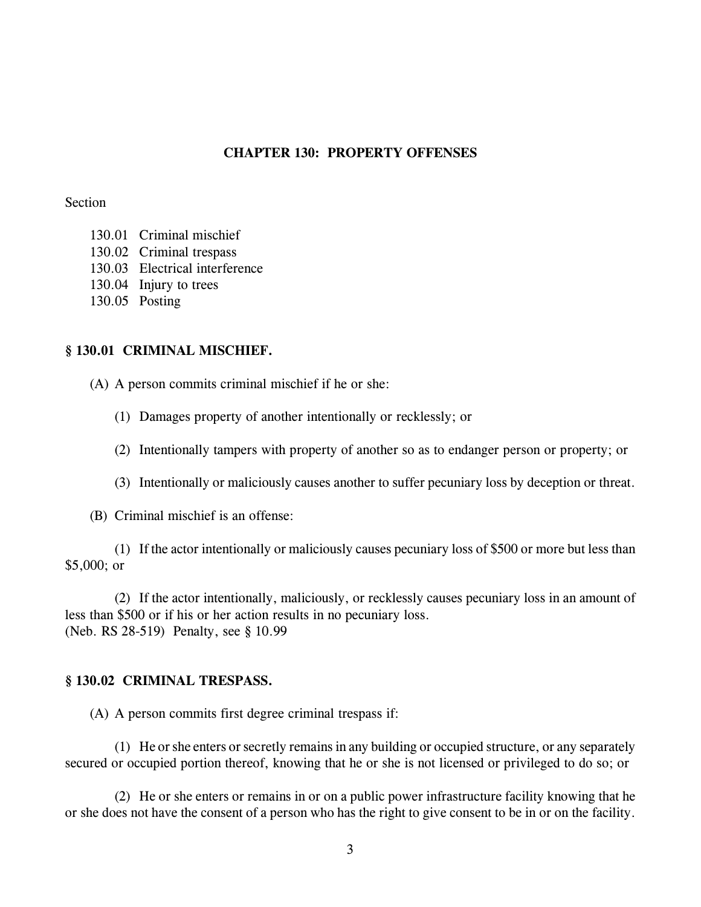### **CHAPTER 130: PROPERTY OFFENSES**

#### Section

- 130.01 Criminal mischief
- 130.02 Criminal trespass
- 130.03 Electrical interference
- 130.04 Injury to trees
- 130.05 Posting

### **§ 130.01 CRIMINAL MISCHIEF.**

(A) A person commits criminal mischief if he or she:

- (1) Damages property of another intentionally or recklessly; or
- (2) Intentionally tampers with property of another so as to endanger person or property; or
- (3) Intentionally or maliciously causes another to suffer pecuniary loss by deception or threat.
- (B) Criminal mischief is an offense:

(1) If the actor intentionally or maliciously causes pecuniary loss of \$500 or more but less than \$5,000; or

(2) If the actor intentionally, maliciously, or recklessly causes pecuniary loss in an amount of less than \$500 or if his or her action results in no pecuniary loss. (Neb. RS 28-519) Penalty, see § 10.99

## **§ 130.02 CRIMINAL TRESPASS.**

(A) A person commits first degree criminal trespass if:

(1) He or she enters or secretly remains in any building or occupied structure, or any separately secured or occupied portion thereof, knowing that he or she is not licensed or privileged to do so; or

(2) He or she enters or remains in or on a public power infrastructure facility knowing that he or she does not have the consent of a person who has the right to give consent to be in or on the facility.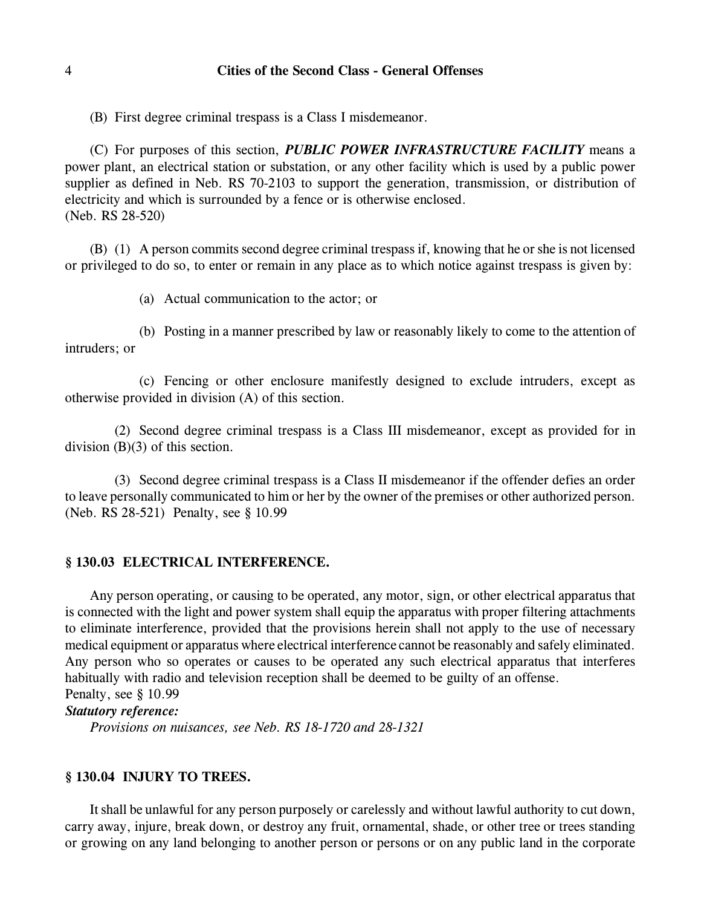(B) First degree criminal trespass is a Class I misdemeanor.

(C) For purposes of this section, *PUBLIC POWER INFRASTRUCTURE FACILITY* means a power plant, an electrical station or substation, or any other facility which is used by a public power supplier as defined in Neb. RS 70-2103 to support the generation, transmission, or distribution of electricity and which is surrounded by a fence or is otherwise enclosed. (Neb. RS 28-520)

(B) (1) A person commits second degree criminal trespass if, knowing that he or she is not licensed or privileged to do so, to enter or remain in any place as to which notice against trespass is given by:

(a) Actual communication to the actor; or

(b) Posting in a manner prescribed by law or reasonably likely to come to the attention of intruders; or

(c) Fencing or other enclosure manifestly designed to exclude intruders, except as otherwise provided in division (A) of this section.

(2) Second degree criminal trespass is a Class III misdemeanor, except as provided for in division (B)(3) of this section.

(3) Second degree criminal trespass is a Class II misdemeanor if the offender defies an order to leave personally communicated to him or her by the owner of the premises or other authorized person. (Neb. RS 28-521) Penalty, see § 10.99

## **§ 130.03 ELECTRICAL INTERFERENCE.**

Any person operating, or causing to be operated, any motor, sign, or other electrical apparatus that is connected with the light and power system shall equip the apparatus with proper filtering attachments to eliminate interference, provided that the provisions herein shall not apply to the use of necessary medical equipment or apparatus where electrical interference cannot be reasonably and safely eliminated. Any person who so operates or causes to be operated any such electrical apparatus that interferes habitually with radio and television reception shall be deemed to be guilty of an offense. Penalty, see § 10.99

### *Statutory reference:*

*Provisions on nuisances, see Neb. RS 18-1720 and 28-1321*

#### **§ 130.04 INJURY TO TREES.**

It shall be unlawful for any person purposely or carelessly and without lawful authority to cut down, carry away, injure, break down, or destroy any fruit, ornamental, shade, or other tree or trees standing or growing on any land belonging to another person or persons or on any public land in the corporate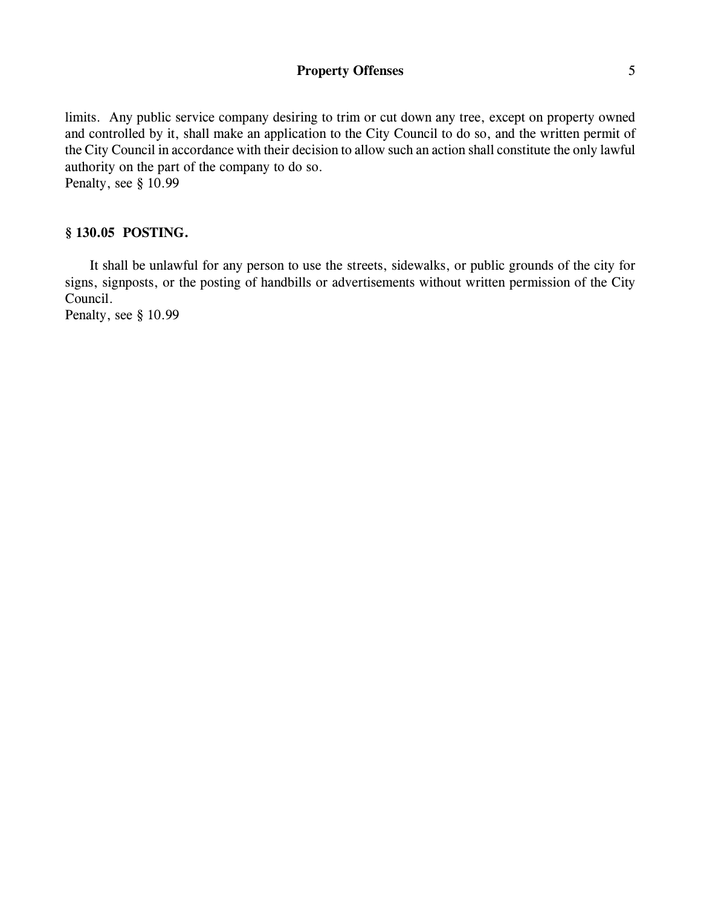# **Property Offenses** 5

limits. Any public service company desiring to trim or cut down any tree, except on property owned and controlled by it, shall make an application to the City Council to do so, and the written permit of the City Council in accordance with their decision to allow such an action shall constitute the only lawful authority on the part of the company to do so. Penalty, see § 10.99

### **§ 130.05 POSTING.**

It shall be unlawful for any person to use the streets, sidewalks, or public grounds of the city for signs, signposts, or the posting of handbills or advertisements without written permission of the City Council.

Penalty, see § 10.99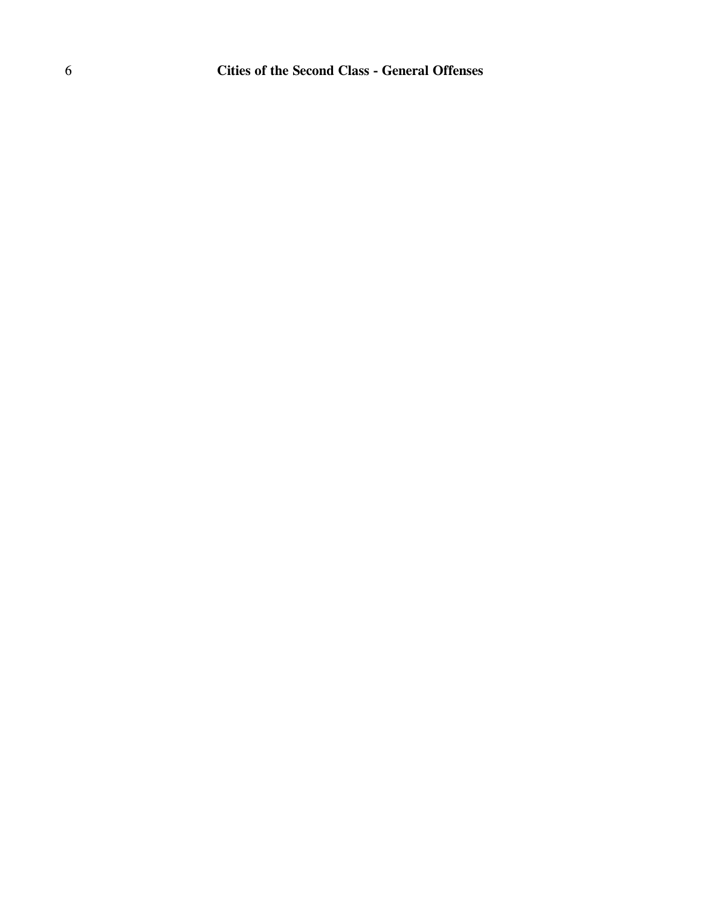**Cities of the Second Class - General Offenses**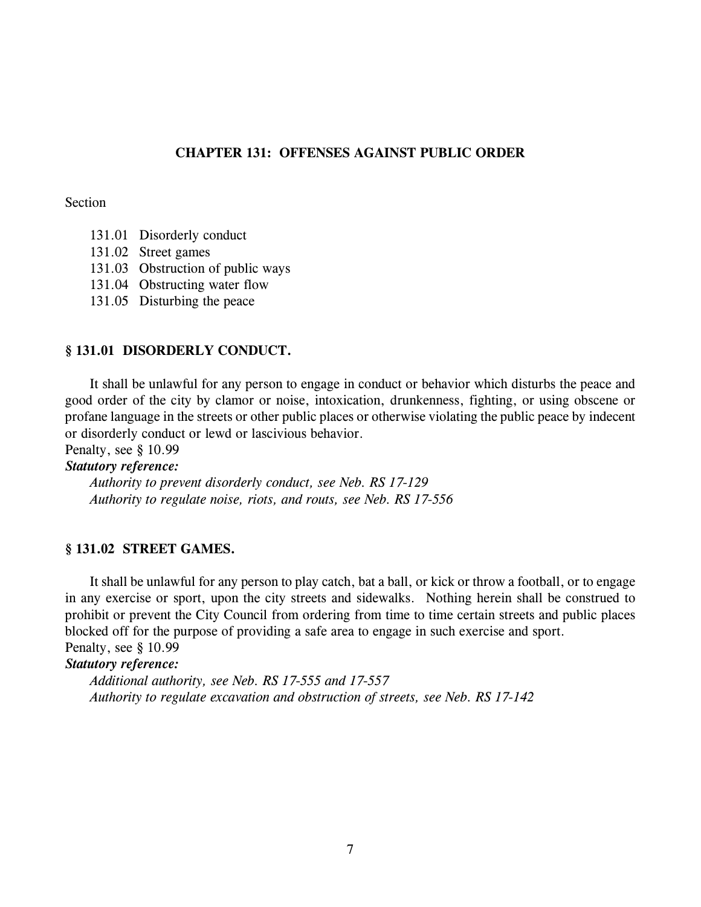### **CHAPTER 131: OFFENSES AGAINST PUBLIC ORDER**

#### Section

- 131.01 Disorderly conduct
- 131.02 Street games
- 131.03 Obstruction of public ways
- 131.04 Obstructing water flow
- 131.05 Disturbing the peace

#### **§ 131.01 DISORDERLY CONDUCT.**

It shall be unlawful for any person to engage in conduct or behavior which disturbs the peace and good order of the city by clamor or noise, intoxication, drunkenness, fighting, or using obscene or profane language in the streets or other public places or otherwise violating the public peace by indecent or disorderly conduct or lewd or lascivious behavior.

Penalty, see § 10.99

## *Statutory reference:*

*Authority to prevent disorderly conduct, see Neb. RS 17-129 Authority to regulate noise, riots, and routs, see Neb. RS 17-556*

### **§ 131.02 STREET GAMES.**

It shall be unlawful for any person to play catch, bat a ball, or kick or throw a football, or to engage in any exercise or sport, upon the city streets and sidewalks. Nothing herein shall be construed to prohibit or prevent the City Council from ordering from time to time certain streets and public places blocked off for the purpose of providing a safe area to engage in such exercise and sport. Penalty, see § 10.99

#### *Statutory reference:*

*Additional authority, see Neb. RS 17-555 and 17-557 Authority to regulate excavation and obstruction of streets, see Neb. RS 17-142*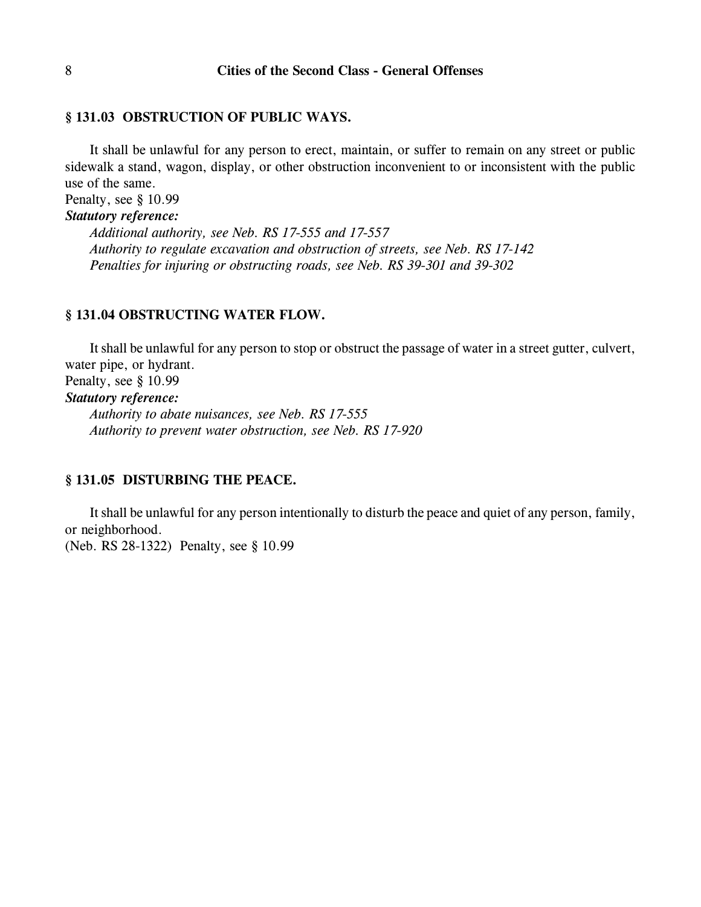### **§ 131.03 OBSTRUCTION OF PUBLIC WAYS.**

It shall be unlawful for any person to erect, maintain, or suffer to remain on any street or public sidewalk a stand, wagon, display, or other obstruction inconvenient to or inconsistent with the public use of the same.

Penalty, see § 10.99

*Statutory reference:*

*Additional authority, see Neb. RS 17-555 and 17-557 Authority to regulate excavation and obstruction of streets, see Neb. RS 17-142 Penalties for injuring or obstructing roads, see Neb. RS 39-301 and 39-302*

### **§ 131.04 OBSTRUCTING WATER FLOW.**

It shall be unlawful for any person to stop or obstruct the passage of water in a street gutter, culvert, water pipe, or hydrant. Penalty, see § 10.99 *Statutory reference: Authority to abate nuisances, see Neb. RS 17-555 Authority to prevent water obstruction, see Neb. RS 17-920*

### **§ 131.05 DISTURBING THE PEACE.**

It shall be unlawful for any person intentionally to disturb the peace and quiet of any person, family, or neighborhood. (Neb. RS 28-1322) Penalty, see § 10.99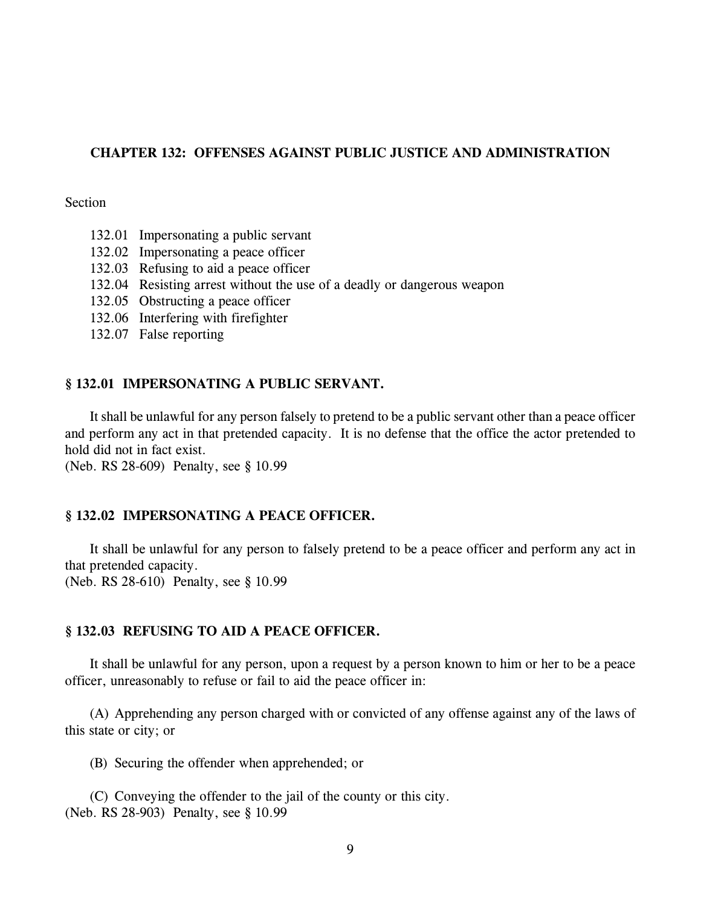### **CHAPTER 132: OFFENSES AGAINST PUBLIC JUSTICE AND ADMINISTRATION**

#### Section

- 132.01 Impersonating a public servant
- 132.02 Impersonating a peace officer
- 132.03 Refusing to aid a peace officer
- 132.04 Resisting arrest without the use of a deadly or dangerous weapon
- 132.05 Obstructing a peace officer
- 132.06 Interfering with firefighter
- 132.07 False reporting

### **§ 132.01 IMPERSONATING A PUBLIC SERVANT.**

It shall be unlawful for any person falsely to pretend to be a public servant other than a peace officer and perform any act in that pretended capacity. It is no defense that the office the actor pretended to hold did not in fact exist.

(Neb. RS 28-609) Penalty, see § 10.99

### **§ 132.02 IMPERSONATING A PEACE OFFICER.**

It shall be unlawful for any person to falsely pretend to be a peace officer and perform any act in that pretended capacity. (Neb. RS 28-610) Penalty, see § 10.99

### **§ 132.03 REFUSING TO AID A PEACE OFFICER.**

It shall be unlawful for any person, upon a request by a person known to him or her to be a peace officer, unreasonably to refuse or fail to aid the peace officer in:

(A) Apprehending any person charged with or convicted of any offense against any of the laws of this state or city; or

(B) Securing the offender when apprehended; or

(C) Conveying the offender to the jail of the county or this city. (Neb. RS 28-903) Penalty, see § 10.99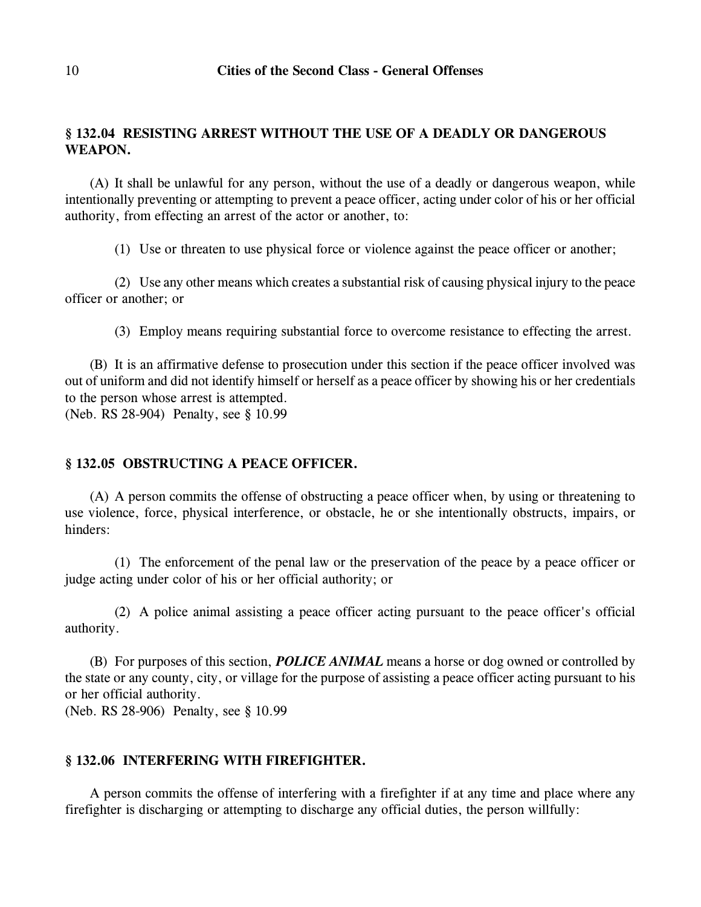# **§ 132.04 RESISTING ARREST WITHOUT THE USE OF A DEADLY OR DANGEROUS WEAPON.**

(A) It shall be unlawful for any person, without the use of a deadly or dangerous weapon, while intentionally preventing or attempting to prevent a peace officer, acting under color of his or her official authority, from effecting an arrest of the actor or another, to:

(1) Use or threaten to use physical force or violence against the peace officer or another;

(2) Use any other means which creates a substantial risk of causing physical injury to the peace officer or another; or

(3) Employ means requiring substantial force to overcome resistance to effecting the arrest.

(B) It is an affirmative defense to prosecution under this section if the peace officer involved was out of uniform and did not identify himself or herself as a peace officer by showing his or her credentials to the person whose arrest is attempted.

(Neb. RS 28-904) Penalty, see § 10.99

### **§ 132.05 OBSTRUCTING A PEACE OFFICER.**

(A) A person commits the offense of obstructing a peace officer when, by using or threatening to use violence, force, physical interference, or obstacle, he or she intentionally obstructs, impairs, or hinders:

(1) The enforcement of the penal law or the preservation of the peace by a peace officer or judge acting under color of his or her official authority; or

(2) A police animal assisting a peace officer acting pursuant to the peace officer's official authority.

(B) For purposes of this section, *POLICE ANIMAL* means a horse or dog owned or controlled by the state or any county, city, or village for the purpose of assisting a peace officer acting pursuant to his or her official authority.

(Neb. RS 28-906) Penalty, see § 10.99

### **§ 132.06 INTERFERING WITH FIREFIGHTER.**

A person commits the offense of interfering with a firefighter if at any time and place where any firefighter is discharging or attempting to discharge any official duties, the person willfully: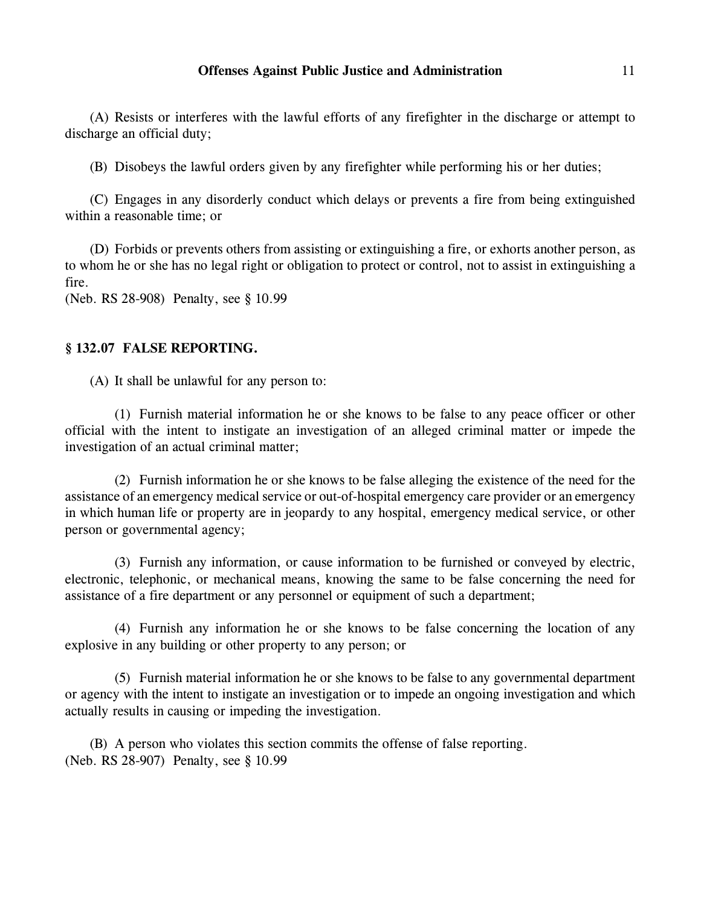### **Offenses Against Public Justice and Administration** 11

(A) Resists or interferes with the lawful efforts of any firefighter in the discharge or attempt to discharge an official duty;

(B) Disobeys the lawful orders given by any firefighter while performing his or her duties;

(C) Engages in any disorderly conduct which delays or prevents a fire from being extinguished within a reasonable time; or

(D) Forbids or prevents others from assisting or extinguishing a fire, or exhorts another person, as to whom he or she has no legal right or obligation to protect or control, not to assist in extinguishing a fire.

(Neb. RS 28-908) Penalty, see § 10.99

### **§ 132.07 FALSE REPORTING.**

(A) It shall be unlawful for any person to:

(1) Furnish material information he or she knows to be false to any peace officer or other official with the intent to instigate an investigation of an alleged criminal matter or impede the investigation of an actual criminal matter;

(2) Furnish information he or she knows to be false alleging the existence of the need for the assistance of an emergency medical service or out-of-hospital emergency care provider or an emergency in which human life or property are in jeopardy to any hospital, emergency medical service, or other person or governmental agency;

(3) Furnish any information, or cause information to be furnished or conveyed by electric, electronic, telephonic, or mechanical means, knowing the same to be false concerning the need for assistance of a fire department or any personnel or equipment of such a department;

(4) Furnish any information he or she knows to be false concerning the location of any explosive in any building or other property to any person; or

(5) Furnish material information he or she knows to be false to any governmental department or agency with the intent to instigate an investigation or to impede an ongoing investigation and which actually results in causing or impeding the investigation.

(B) A person who violates this section commits the offense of false reporting. (Neb. RS 28-907) Penalty, see § 10.99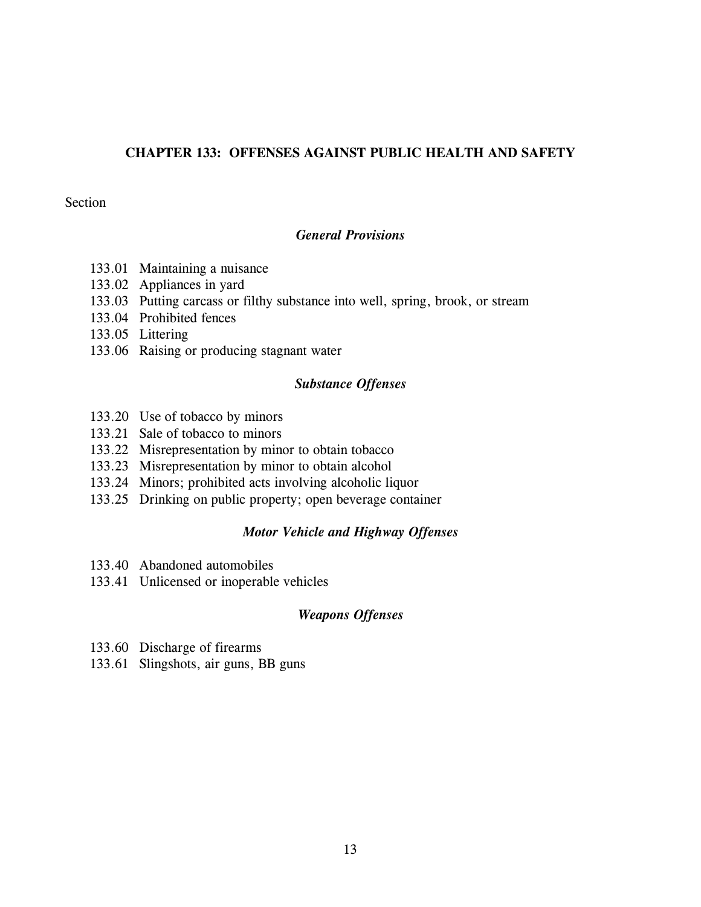### **CHAPTER 133: OFFENSES AGAINST PUBLIC HEALTH AND SAFETY**

### Section

### *General Provisions*

- 133.01 Maintaining a nuisance
- 133.02 Appliances in yard
- 133.03 Putting carcass or filthy substance into well, spring, brook, or stream
- 133.04 Prohibited fences
- 133.05 Littering
- 133.06 Raising or producing stagnant water

#### *Substance Offenses*

- 133.20 Use of tobacco by minors
- 133.21 Sale of tobacco to minors
- 133.22 Misrepresentation by minor to obtain tobacco
- 133.23 Misrepresentation by minor to obtain alcohol
- 133.24 Minors; prohibited acts involving alcoholic liquor
- 133.25 Drinking on public property; open beverage container

#### *Motor Vehicle and Highway Offenses*

- 133.40 Abandoned automobiles
- 133.41 Unlicensed or inoperable vehicles

#### *Weapons Offenses*

- 133.60 Discharge of firearms
- 133.61 Slingshots, air guns, BB guns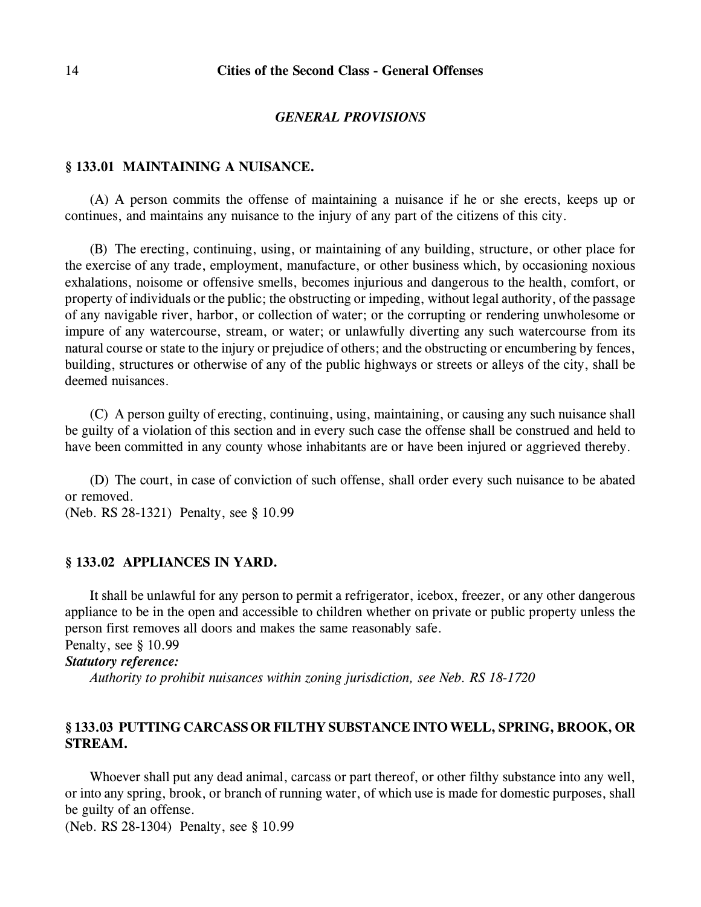#### *GENERAL PROVISIONS*

#### **§ 133.01 MAINTAINING A NUISANCE.**

(A) A person commits the offense of maintaining a nuisance if he or she erects, keeps up or continues, and maintains any nuisance to the injury of any part of the citizens of this city.

(B) The erecting, continuing, using, or maintaining of any building, structure, or other place for the exercise of any trade, employment, manufacture, or other business which, by occasioning noxious exhalations, noisome or offensive smells, becomes injurious and dangerous to the health, comfort, or property of individuals or the public; the obstructing or impeding, without legal authority, of the passage of any navigable river, harbor, or collection of water; or the corrupting or rendering unwholesome or impure of any watercourse, stream, or water; or unlawfully diverting any such watercourse from its natural course or state to the injury or prejudice of others; and the obstructing or encumbering by fences, building, structures or otherwise of any of the public highways or streets or alleys of the city, shall be deemed nuisances.

(C) A person guilty of erecting, continuing, using, maintaining, or causing any such nuisance shall be guilty of a violation of this section and in every such case the offense shall be construed and held to have been committed in any county whose inhabitants are or have been injured or aggrieved thereby.

(D) The court, in case of conviction of such offense, shall order every such nuisance to be abated or removed.

(Neb. RS 28-1321) Penalty, see § 10.99

### **§ 133.02 APPLIANCES IN YARD.**

It shall be unlawful for any person to permit a refrigerator, icebox, freezer, or any other dangerous appliance to be in the open and accessible to children whether on private or public property unless the person first removes all doors and makes the same reasonably safe.

Penalty, see § 10.99 *Statutory reference:*

*Authority to prohibit nuisances within zoning jurisdiction, see Neb. RS 18-1720*

### **§ 133.03 PUTTING CARCASS OR FILTHY SUBSTANCE INTO WELL, SPRING, BROOK, OR STREAM.**

Whoever shall put any dead animal, carcass or part thereof, or other filthy substance into any well, or into any spring, brook, or branch of running water, of which use is made for domestic purposes, shall be guilty of an offense.

(Neb. RS 28-1304) Penalty, see § 10.99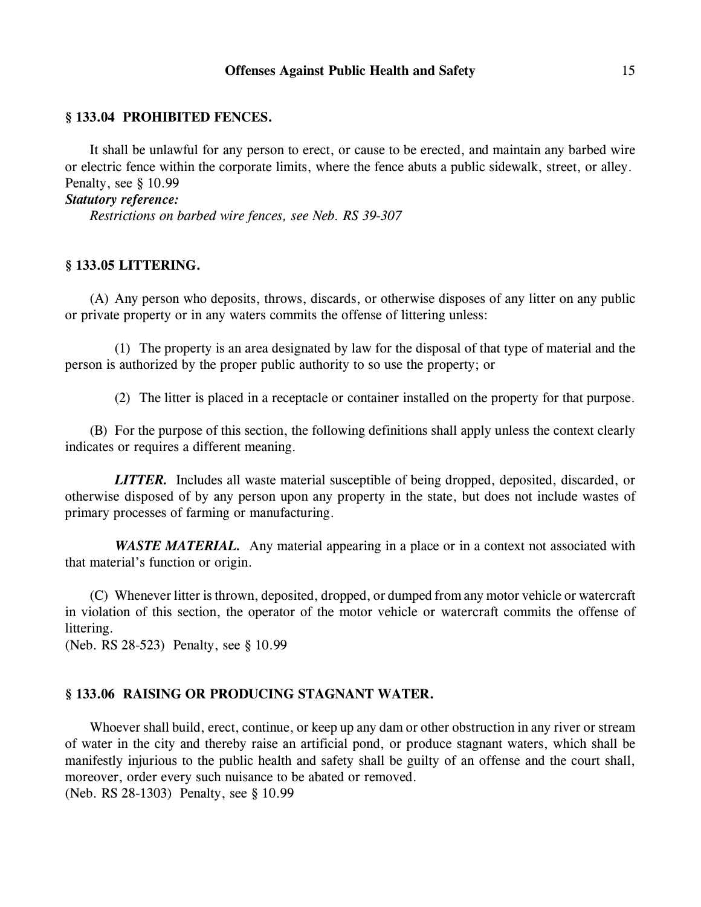#### **§ 133.04 PROHIBITED FENCES.**

It shall be unlawful for any person to erect, or cause to be erected, and maintain any barbed wire or electric fence within the corporate limits, where the fence abuts a public sidewalk, street, or alley. Penalty, see § 10.99

### *Statutory reference:*

*Restrictions on barbed wire fences, see Neb. RS 39-307*

### **§ 133.05 LITTERING.**

(A) Any person who deposits, throws, discards, or otherwise disposes of any litter on any public or private property or in any waters commits the offense of littering unless:

(1) The property is an area designated by law for the disposal of that type of material and the person is authorized by the proper public authority to so use the property; or

(2) The litter is placed in a receptacle or container installed on the property for that purpose.

(B) For the purpose of this section, the following definitions shall apply unless the context clearly indicates or requires a different meaning.

*LITTER.* Includes all waste material susceptible of being dropped, deposited, discarded, or otherwise disposed of by any person upon any property in the state, but does not include wastes of primary processes of farming or manufacturing.

*WASTE MATERIAL.* Any material appearing in a place or in a context not associated with that material's function or origin.

(C) Whenever litter is thrown, deposited, dropped, or dumped from any motor vehicle or watercraft in violation of this section, the operator of the motor vehicle or watercraft commits the offense of littering.

(Neb. RS 28-523) Penalty, see § 10.99

## **§ 133.06 RAISING OR PRODUCING STAGNANT WATER.**

Whoever shall build, erect, continue, or keep up any dam or other obstruction in any river or stream of water in the city and thereby raise an artificial pond, or produce stagnant waters, which shall be manifestly injurious to the public health and safety shall be guilty of an offense and the court shall, moreover, order every such nuisance to be abated or removed. (Neb. RS 28-1303) Penalty, see § 10.99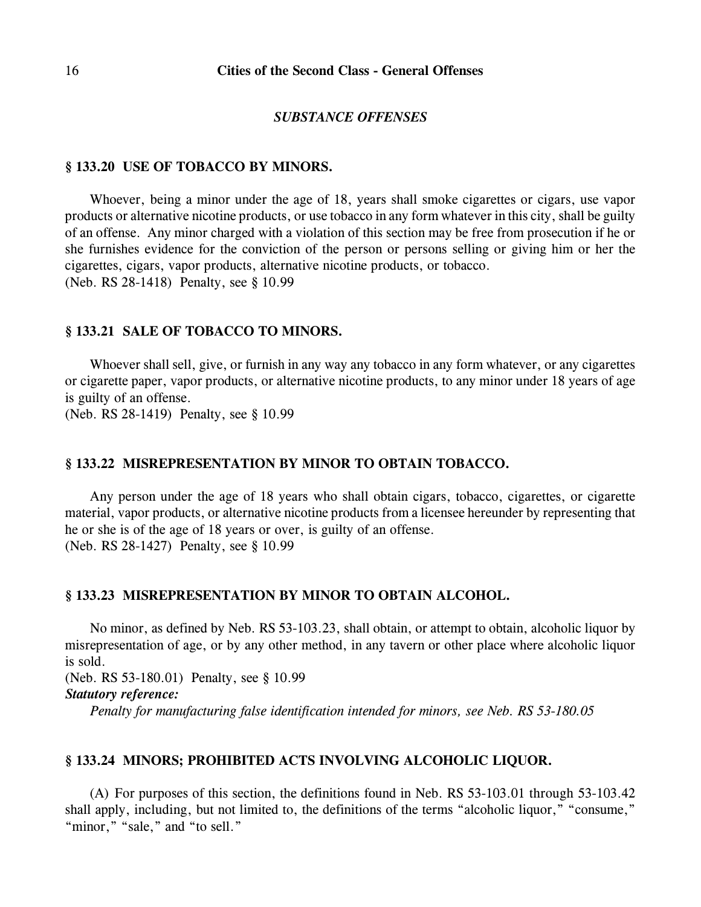#### *SUBSTANCE OFFENSES*

#### **§ 133.20 USE OF TOBACCO BY MINORS.**

Whoever, being a minor under the age of 18, years shall smoke cigarettes or cigars, use vapor products or alternative nicotine products, or use tobacco in any form whatever in this city, shall be guilty of an offense. Any minor charged with a violation of this section may be free from prosecution if he or she furnishes evidence for the conviction of the person or persons selling or giving him or her the cigarettes, cigars, vapor products, alternative nicotine products, or tobacco. (Neb. RS 28-1418) Penalty, see § 10.99

#### **§ 133.21 SALE OF TOBACCO TO MINORS.**

Whoever shall sell, give, or furnish in any way any tobacco in any form whatever, or any cigarettes or cigarette paper, vapor products, or alternative nicotine products, to any minor under 18 years of age is guilty of an offense.

(Neb. RS 28-1419) Penalty, see § 10.99

### **§ 133.22 MISREPRESENTATION BY MINOR TO OBTAIN TOBACCO.**

Any person under the age of 18 years who shall obtain cigars, tobacco, cigarettes, or cigarette material, vapor products, or alternative nicotine products from a licensee hereunder by representing that he or she is of the age of 18 years or over, is guilty of an offense. (Neb. RS 28-1427) Penalty, see § 10.99

#### **§ 133.23 MISREPRESENTATION BY MINOR TO OBTAIN ALCOHOL.**

No minor, as defined by Neb. RS 53-103.23, shall obtain, or attempt to obtain, alcoholic liquor by misrepresentation of age, or by any other method, in any tavern or other place where alcoholic liquor is sold.

(Neb. RS 53-180.01) Penalty, see § 10.99 *Statutory reference: Penalty for manufacturing false identification intended for minors, see Neb. RS 53-180.05*

#### **§ 133.24 MINORS; PROHIBITED ACTS INVOLVING ALCOHOLIC LIQUOR.**

(A) For purposes of this section, the definitions found in Neb. RS 53-103.01 through 53-103.42 shall apply, including, but not limited to, the definitions of the terms "alcoholic liquor," "consume," "minor," "sale," and "to sell."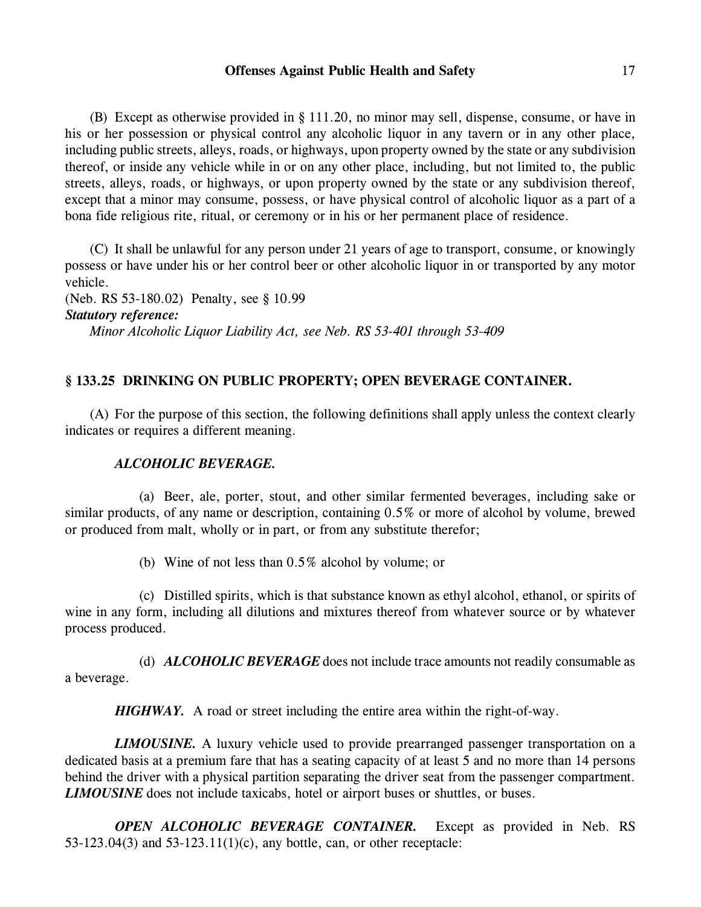#### **Offenses Against Public Health and Safety** 17

(B) Except as otherwise provided in § 111.20, no minor may sell, dispense, consume, or have in his or her possession or physical control any alcoholic liquor in any tavern or in any other place, including public streets, alleys, roads, or highways, upon property owned by the state or any subdivision thereof, or inside any vehicle while in or on any other place, including, but not limited to, the public streets, alleys, roads, or highways, or upon property owned by the state or any subdivision thereof, except that a minor may consume, possess, or have physical control of alcoholic liquor as a part of a bona fide religious rite, ritual, or ceremony or in his or her permanent place of residence.

(C) It shall be unlawful for any person under 21 years of age to transport, consume, or knowingly possess or have under his or her control beer or other alcoholic liquor in or transported by any motor vehicle.

(Neb. RS 53-180.02) Penalty, see § 10.99 *Statutory reference: Minor Alcoholic Liquor Liability Act, see Neb. RS 53-401 through 53-409*

# **§ 133.25 DRINKING ON PUBLIC PROPERTY; OPEN BEVERAGE CONTAINER.**

(A) For the purpose of this section, the following definitions shall apply unless the context clearly indicates or requires a different meaning.

### *ALCOHOLIC BEVERAGE.*

(a) Beer, ale, porter, stout, and other similar fermented beverages, including sake or similar products, of any name or description, containing 0.5% or more of alcohol by volume, brewed or produced from malt, wholly or in part, or from any substitute therefor;

(b) Wine of not less than 0.5% alcohol by volume; or

(c) Distilled spirits, which is that substance known as ethyl alcohol, ethanol, or spirits of wine in any form, including all dilutions and mixtures thereof from whatever source or by whatever process produced.

(d) *ALCOHOLIC BEVERAGE* does not include trace amounts not readily consumable as a beverage.

*HIGHWAY.* A road or street including the entire area within the right-of-way.

*LIMOUSINE.* A luxury vehicle used to provide prearranged passenger transportation on a dedicated basis at a premium fare that has a seating capacity of at least 5 and no more than 14 persons behind the driver with a physical partition separating the driver seat from the passenger compartment. *LIMOUSINE* does not include taxicabs, hotel or airport buses or shuttles, or buses.

*OPEN ALCOHOLIC BEVERAGE CONTAINER.* Except as provided in Neb. RS 53-123.04(3) and 53-123.11(1)(c), any bottle, can, or other receptacle: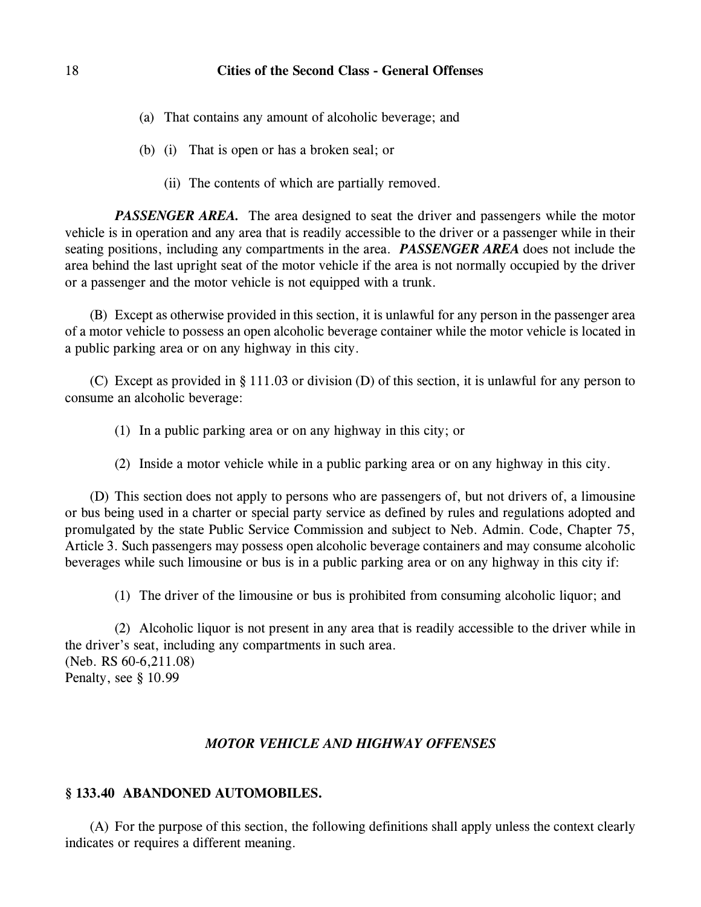- (a) That contains any amount of alcoholic beverage; and
- (b) (i) That is open or has a broken seal; or
	- (ii) The contents of which are partially removed.

*PASSENGER AREA.* The area designed to seat the driver and passengers while the motor vehicle is in operation and any area that is readily accessible to the driver or a passenger while in their seating positions, including any compartments in the area. *PASSENGER AREA* does not include the area behind the last upright seat of the motor vehicle if the area is not normally occupied by the driver or a passenger and the motor vehicle is not equipped with a trunk.

(B) Except as otherwise provided in this section, it is unlawful for any person in the passenger area of a motor vehicle to possess an open alcoholic beverage container while the motor vehicle is located in a public parking area or on any highway in this city.

(C) Except as provided in § 111.03 or division (D) of this section, it is unlawful for any person to consume an alcoholic beverage:

(1) In a public parking area or on any highway in this city; or

(2) Inside a motor vehicle while in a public parking area or on any highway in this city.

(D) This section does not apply to persons who are passengers of, but not drivers of, a limousine or bus being used in a charter or special party service as defined by rules and regulations adopted and promulgated by the state Public Service Commission and subject to Neb. Admin. Code, Chapter 75, Article 3. Such passengers may possess open alcoholic beverage containers and may consume alcoholic beverages while such limousine or bus is in a public parking area or on any highway in this city if:

(1) The driver of the limousine or bus is prohibited from consuming alcoholic liquor; and

(2) Alcoholic liquor is not present in any area that is readily accessible to the driver while in the driver's seat, including any compartments in such area. (Neb. RS 60-6,211.08) Penalty, see § 10.99

### *MOTOR VEHICLE AND HIGHWAY OFFENSES*

## **§ 133.40 ABANDONED AUTOMOBILES.**

(A) For the purpose of this section, the following definitions shall apply unless the context clearly indicates or requires a different meaning.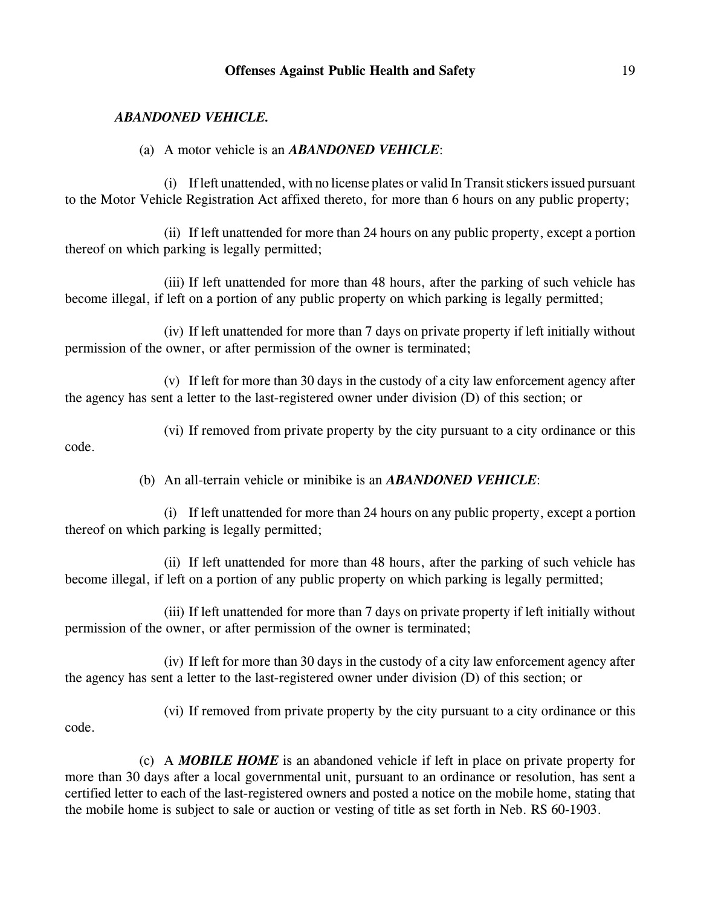# *ABANDONED VEHICLE.*

# (a) A motor vehicle is an *ABANDONED VEHICLE*:

(i) If left unattended, with no license plates or valid In Transit stickers issued pursuant to the Motor Vehicle Registration Act affixed thereto, for more than 6 hours on any public property;

(ii) If left unattended for more than 24 hours on any public property, except a portion thereof on which parking is legally permitted;

(iii) If left unattended for more than 48 hours, after the parking of such vehicle has become illegal, if left on a portion of any public property on which parking is legally permitted;

(iv) If left unattended for more than 7 days on private property if left initially without permission of the owner, or after permission of the owner is terminated;

(v) If left for more than 30 days in the custody of a city law enforcement agency after the agency has sent a letter to the last-registered owner under division (D) of this section; or

(vi) If removed from private property by the city pursuant to a city ordinance or this code.

(b) An all-terrain vehicle or minibike is an *ABANDONED VEHICLE*:

(i) If left unattended for more than 24 hours on any public property, except a portion thereof on which parking is legally permitted;

(ii) If left unattended for more than 48 hours, after the parking of such vehicle has become illegal, if left on a portion of any public property on which parking is legally permitted;

(iii) If left unattended for more than 7 days on private property if left initially without permission of the owner, or after permission of the owner is terminated;

(iv) If left for more than 30 days in the custody of a city law enforcement agency after the agency has sent a letter to the last-registered owner under division (D) of this section; or

(vi) If removed from private property by the city pursuant to a city ordinance or this

code.

(c) A *MOBILE HOME* is an abandoned vehicle if left in place on private property for more than 30 days after a local governmental unit, pursuant to an ordinance or resolution, has sent a certified letter to each of the last-registered owners and posted a notice on the mobile home, stating that the mobile home is subject to sale or auction or vesting of title as set forth in Neb. RS 60-1903.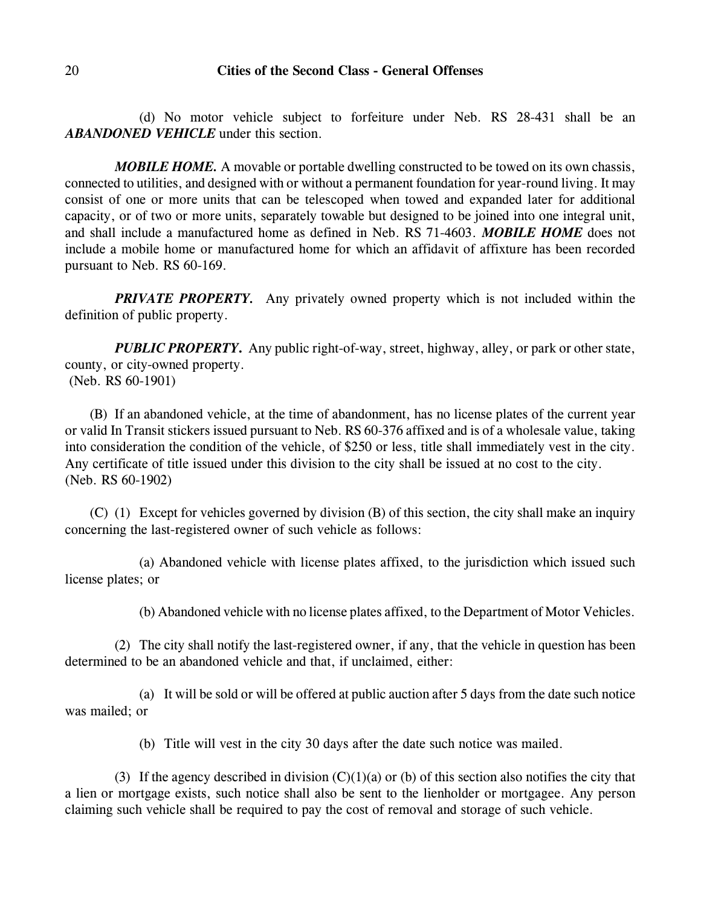### 20 **Cities of the Second Class - General Offenses**

(d) No motor vehicle subject to forfeiture under Neb. RS 28-431 shall be an *ABANDONED VEHICLE* under this section.

*MOBILE HOME.* A movable or portable dwelling constructed to be towed on its own chassis, connected to utilities, and designed with or without a permanent foundation for year-round living. It may consist of one or more units that can be telescoped when towed and expanded later for additional capacity, or of two or more units, separately towable but designed to be joined into one integral unit, and shall include a manufactured home as defined in Neb. RS 71-4603. *MOBILE HOME* does not include a mobile home or manufactured home for which an affidavit of affixture has been recorded pursuant to Neb. RS 60-169.

*PRIVATE PROPERTY.* Any privately owned property which is not included within the definition of public property.

*PUBLIC PROPERTY***.** Any public right-of-way, street, highway, alley, or park or other state, county, or city-owned property. (Neb. RS 60-1901)

(B) If an abandoned vehicle, at the time of abandonment, has no license plates of the current year or valid In Transit stickers issued pursuant to Neb. RS 60-376 affixed and is of a wholesale value, taking into consideration the condition of the vehicle, of \$250 or less, title shall immediately vest in the city. Any certificate of title issued under this division to the city shall be issued at no cost to the city. (Neb. RS 60-1902)

(C) (1) Except for vehicles governed by division (B) of this section, the city shall make an inquiry concerning the last-registered owner of such vehicle as follows:

(a) Abandoned vehicle with license plates affixed, to the jurisdiction which issued such license plates; or

(b) Abandoned vehicle with no license plates affixed, to the Department of Motor Vehicles.

(2) The city shall notify the last-registered owner, if any, that the vehicle in question has been determined to be an abandoned vehicle and that, if unclaimed, either:

(a) It will be sold or will be offered at public auction after 5 days from the date such notice was mailed; or

(b) Title will vest in the city 30 days after the date such notice was mailed.

(3) If the agency described in division  $(C)(1)(a)$  or (b) of this section also notifies the city that a lien or mortgage exists, such notice shall also be sent to the lienholder or mortgagee. Any person claiming such vehicle shall be required to pay the cost of removal and storage of such vehicle.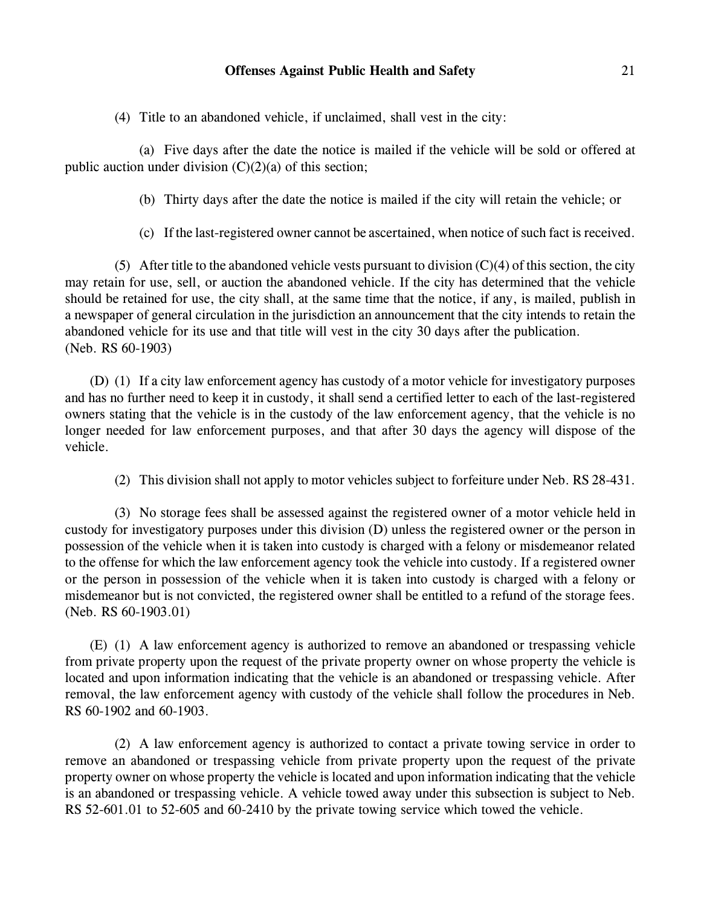(4) Title to an abandoned vehicle, if unclaimed, shall vest in the city:

(a) Five days after the date the notice is mailed if the vehicle will be sold or offered at public auction under division  $(C)(2)(a)$  of this section;

(b) Thirty days after the date the notice is mailed if the city will retain the vehicle; or

(c) If the last-registered owner cannot be ascertained, when notice of such fact is received.

(5) After title to the abandoned vehicle vests pursuant to division  $(C)(4)$  of this section, the city may retain for use, sell, or auction the abandoned vehicle. If the city has determined that the vehicle should be retained for use, the city shall, at the same time that the notice, if any, is mailed, publish in a newspaper of general circulation in the jurisdiction an announcement that the city intends to retain the abandoned vehicle for its use and that title will vest in the city 30 days after the publication. (Neb. RS 60-1903)

(D) (1) If a city law enforcement agency has custody of a motor vehicle for investigatory purposes and has no further need to keep it in custody, it shall send a certified letter to each of the last-registered owners stating that the vehicle is in the custody of the law enforcement agency, that the vehicle is no longer needed for law enforcement purposes, and that after 30 days the agency will dispose of the vehicle.

(2) This division shall not apply to motor vehicles subject to forfeiture under Neb. RS 28-431.

(3) No storage fees shall be assessed against the registered owner of a motor vehicle held in custody for investigatory purposes under this division (D) unless the registered owner or the person in possession of the vehicle when it is taken into custody is charged with a felony or misdemeanor related to the offense for which the law enforcement agency took the vehicle into custody. If a registered owner or the person in possession of the vehicle when it is taken into custody is charged with a felony or misdemeanor but is not convicted, the registered owner shall be entitled to a refund of the storage fees. (Neb. RS 60-1903.01)

(E) (1) A law enforcement agency is authorized to remove an abandoned or trespassing vehicle from private property upon the request of the private property owner on whose property the vehicle is located and upon information indicating that the vehicle is an abandoned or trespassing vehicle. After removal, the law enforcement agency with custody of the vehicle shall follow the procedures in Neb. RS 60-1902 and 60-1903.

(2) A law enforcement agency is authorized to contact a private towing service in order to remove an abandoned or trespassing vehicle from private property upon the request of the private property owner on whose property the vehicle is located and upon information indicating that the vehicle is an abandoned or trespassing vehicle. A vehicle towed away under this subsection is subject to Neb. RS 52-601.01 to 52-605 and 60-2410 by the private towing service which towed the vehicle.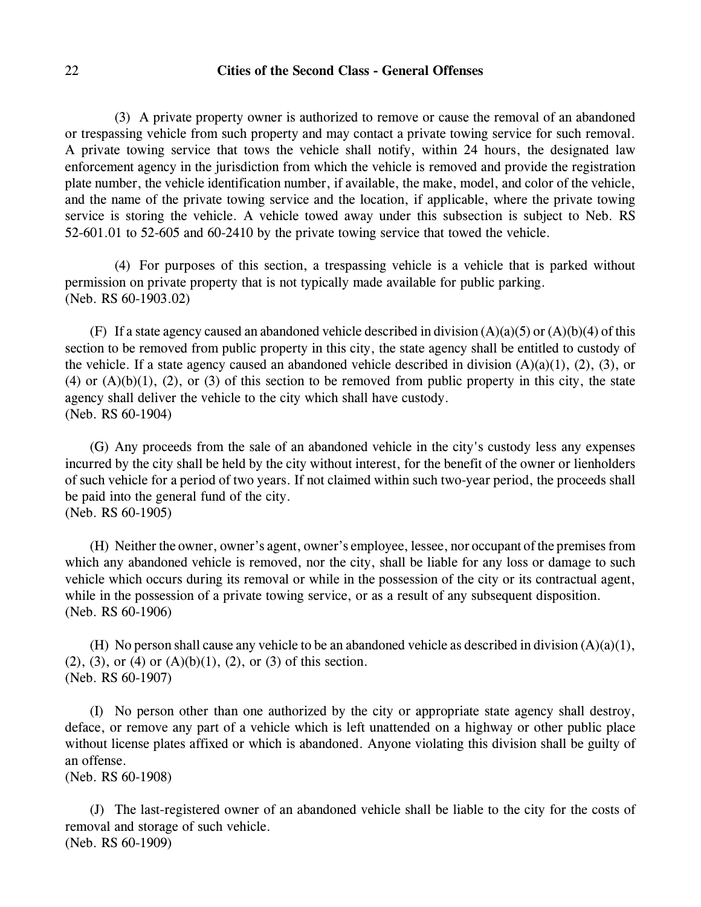### 22 **Cities of the Second Class - General Offenses**

(3) A private property owner is authorized to remove or cause the removal of an abandoned or trespassing vehicle from such property and may contact a private towing service for such removal. A private towing service that tows the vehicle shall notify, within 24 hours, the designated law enforcement agency in the jurisdiction from which the vehicle is removed and provide the registration plate number, the vehicle identification number, if available, the make, model, and color of the vehicle, and the name of the private towing service and the location, if applicable, where the private towing service is storing the vehicle. A vehicle towed away under this subsection is subject to Neb. RS 52-601.01 to 52-605 and 60-2410 by the private towing service that towed the vehicle.

(4) For purposes of this section, a trespassing vehicle is a vehicle that is parked without permission on private property that is not typically made available for public parking. (Neb. RS 60-1903.02)

(F) If a state agency caused an abandoned vehicle described in division  $(A)(a)(5)$  or  $(A)(b)(4)$  of this section to be removed from public property in this city, the state agency shall be entitled to custody of the vehicle. If a state agency caused an abandoned vehicle described in division  $(A)(a)(1)$ ,  $(2)$ ,  $(3)$ , or (4) or  $(A)(b)(1)$ ,  $(2)$ , or  $(3)$  of this section to be removed from public property in this city, the state agency shall deliver the vehicle to the city which shall have custody. (Neb. RS 60-1904)

(G) Any proceeds from the sale of an abandoned vehicle in the city's custody less any expenses incurred by the city shall be held by the city without interest, for the benefit of the owner or lienholders of such vehicle for a period of two years. If not claimed within such two-year period, the proceeds shall be paid into the general fund of the city. (Neb. RS 60-1905)

(H) Neither the owner, owner's agent, owner's employee, lessee, nor occupant of the premises from which any abandoned vehicle is removed, nor the city, shall be liable for any loss or damage to such vehicle which occurs during its removal or while in the possession of the city or its contractual agent, while in the possession of a private towing service, or as a result of any subsequent disposition. (Neb. RS 60-1906)

(H) No person shall cause any vehicle to be an abandoned vehicle as described in division  $(A)(a)(1)$ ,  $(2)$ ,  $(3)$ , or  $(4)$  or  $(A)(b)(1)$ ,  $(2)$ , or  $(3)$  of this section. (Neb. RS 60-1907)

(I) No person other than one authorized by the city or appropriate state agency shall destroy, deface, or remove any part of a vehicle which is left unattended on a highway or other public place without license plates affixed or which is abandoned. Anyone violating this division shall be guilty of an offense.

(Neb. RS 60-1908)

(J) The last-registered owner of an abandoned vehicle shall be liable to the city for the costs of removal and storage of such vehicle. (Neb. RS 60-1909)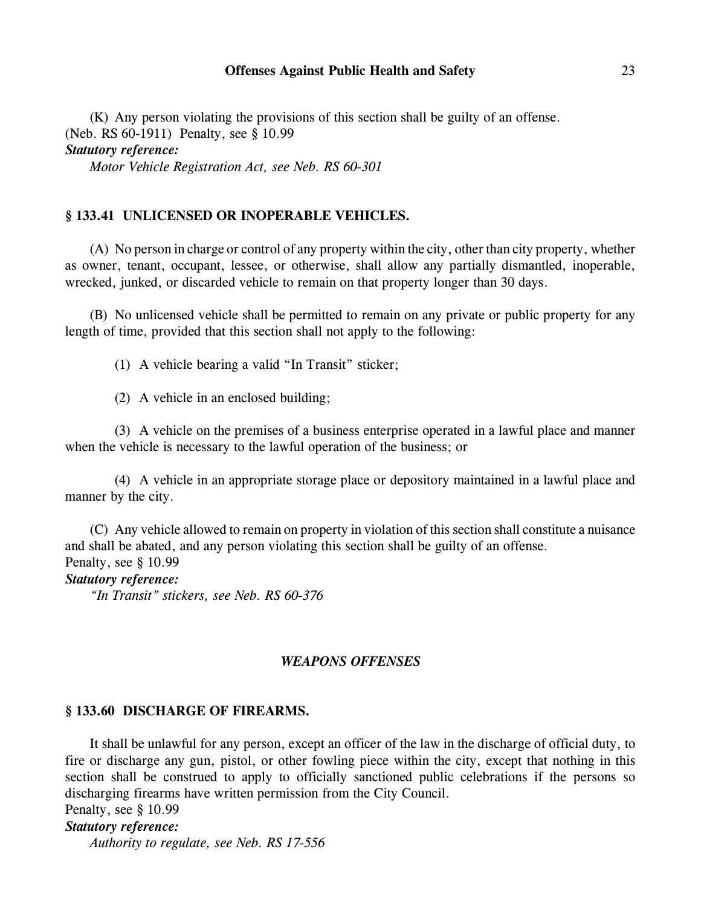#### **Offenses Against Public Health and Safety** 23

(K) Any person violating the provisions of this section shall be guilty of an offense. (Neb. RS 60-1911) Penalty, see § 10.99 *Statutory reference: Motor Vehicle Registration Act, see Neb. RS 60-301*

#### **§ 133.41 UNLICENSED OR INOPERABLE VEHICLES.**

(A) No person in charge or control of any property within the city, other than city property, whether as owner, tenant, occupant, lessee, or otherwise, shall allow any partially dismantled, inoperable, wrecked, junked, or discarded vehicle to remain on that property longer than 30 days.

(B) No unlicensed vehicle shall be permitted to remain on any private or public property for any length of time, provided that this section shall not apply to the following:

(1) A vehicle bearing a valid "In Transit" sticker;

(2) A vehicle in an enclosed building;

(3) A vehicle on the premises of a business enterprise operated in a lawful place and manner when the vehicle is necessary to the lawful operation of the business; or

(4) A vehicle in an appropriate storage place or depository maintained in a lawful place and manner by the city.

(C) Any vehicle allowed to remain on property in violation of this section shall constitute a nuisance and shall be abated, and any person violating this section shall be guilty of an offense. Penalty, see § 10.99

## *Statutory reference:*

*"In Transit" stickers, see Neb. RS 60-376*

## *WEAPONS OFFENSES*

#### **§ 133.60 DISCHARGE OF FIREARMS.**

It shall be unlawful for any person, except an officer of the law in the discharge of official duty, to fire or discharge any gun, pistol, or other fowling piece within the city, except that nothing in this section shall be construed to apply to officially sanctioned public celebrations if the persons so discharging firearms have written permission from the City Council.

Penalty, see § 10.99 *Statutory reference: Authority to regulate, see Neb. RS 17-556*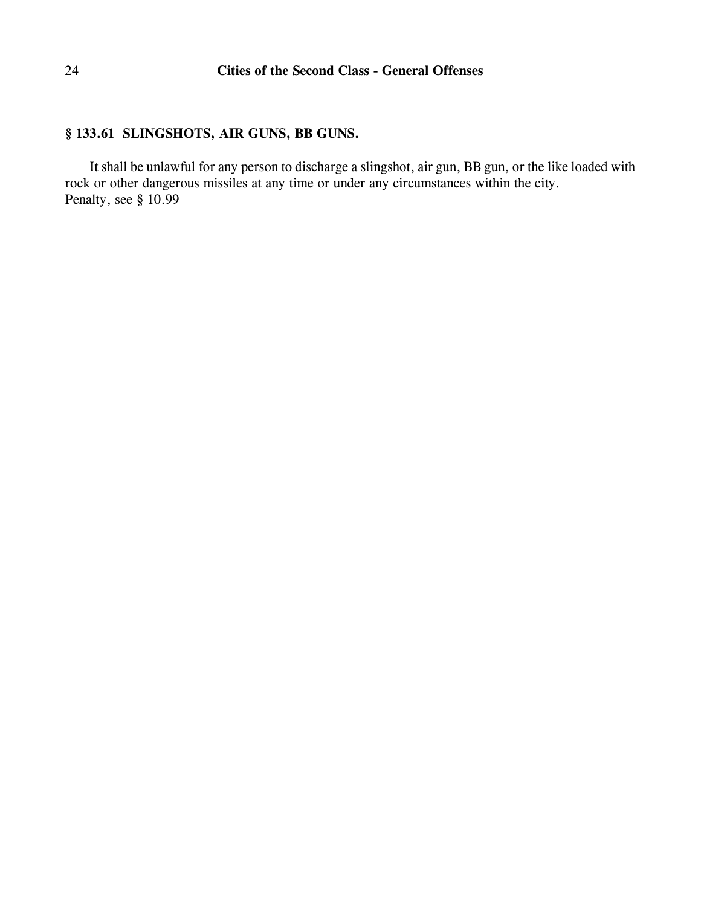# **§ 133.61 SLINGSHOTS, AIR GUNS, BB GUNS.**

It shall be unlawful for any person to discharge a slingshot, air gun, BB gun, or the like loaded with rock or other dangerous missiles at any time or under any circumstances within the city. Penalty, see § 10.99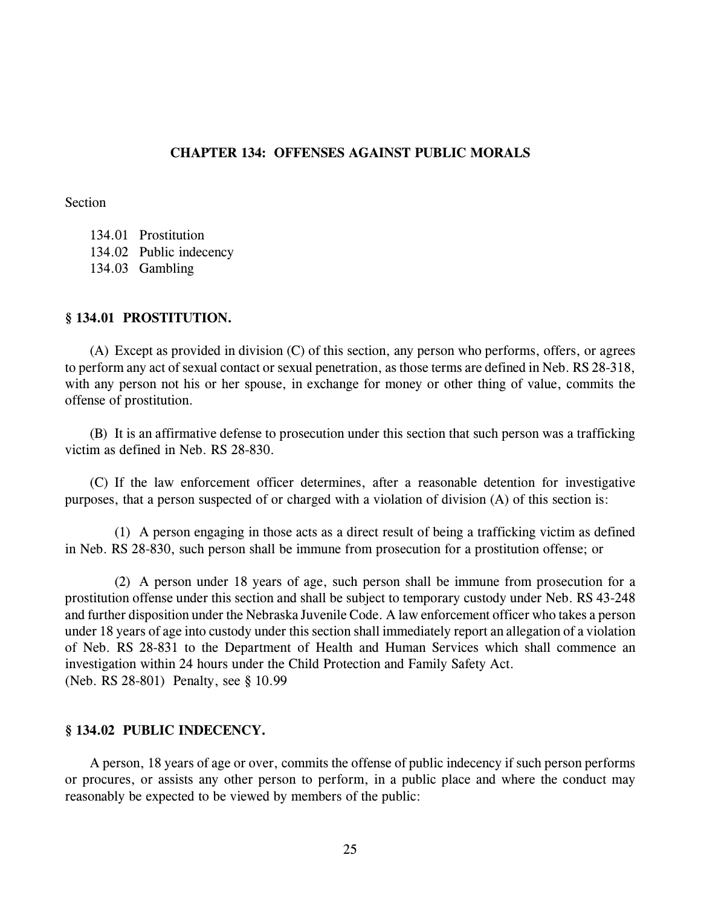### **CHAPTER 134: OFFENSES AGAINST PUBLIC MORALS**

#### Section

134.01 Prostitution 134.02 Public indecency 134.03 Gambling

#### **§ 134.01 PROSTITUTION.**

(A) Except as provided in division (C) of this section, any person who performs, offers, or agrees to perform any act of sexual contact or sexual penetration, as those terms are defined in Neb. RS 28-318, with any person not his or her spouse, in exchange for money or other thing of value, commits the offense of prostitution.

(B) It is an affirmative defense to prosecution under this section that such person was a trafficking victim as defined in Neb. RS 28-830.

(C) If the law enforcement officer determines, after a reasonable detention for investigative purposes, that a person suspected of or charged with a violation of division (A) of this section is:

(1) A person engaging in those acts as a direct result of being a trafficking victim as defined in Neb. RS 28-830, such person shall be immune from prosecution for a prostitution offense; or

(2) A person under 18 years of age, such person shall be immune from prosecution for a prostitution offense under this section and shall be subject to temporary custody under Neb. RS 43-248 and further disposition under the Nebraska Juvenile Code. A law enforcement officer who takes a person under 18 years of age into custody under this section shall immediately report an allegation of a violation of Neb. RS 28-831 to the Department of Health and Human Services which shall commence an investigation within 24 hours under the Child Protection and Family Safety Act. (Neb. RS 28-801) Penalty, see § 10.99

#### **§ 134.02 PUBLIC INDECENCY.**

A person, 18 years of age or over, commits the offense of public indecency if such person performs or procures, or assists any other person to perform, in a public place and where the conduct may reasonably be expected to be viewed by members of the public: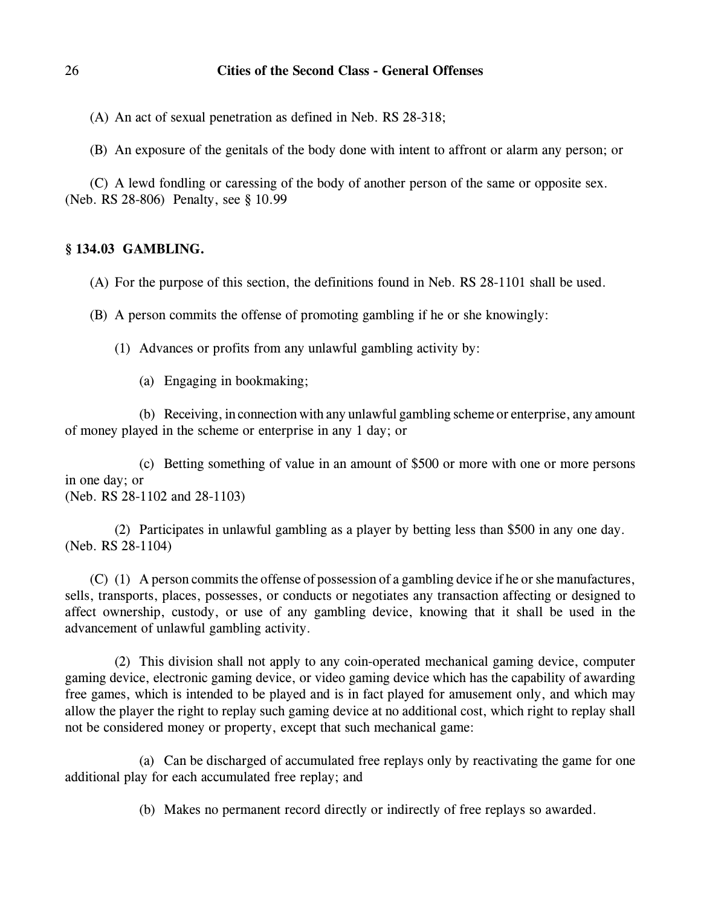(A) An act of sexual penetration as defined in Neb. RS 28-318;

(B) An exposure of the genitals of the body done with intent to affront or alarm any person; or

(C) A lewd fondling or caressing of the body of another person of the same or opposite sex. (Neb. RS 28-806) Penalty, see § 10.99

### **§ 134.03 GAMBLING.**

(A) For the purpose of this section, the definitions found in Neb. RS 28-1101 shall be used.

(B) A person commits the offense of promoting gambling if he or she knowingly:

(1) Advances or profits from any unlawful gambling activity by:

(a) Engaging in bookmaking;

(b) Receiving, in connection with any unlawful gambling scheme or enterprise, any amount of money played in the scheme or enterprise in any 1 day; or

(c) Betting something of value in an amount of \$500 or more with one or more persons in one day; or

(Neb. RS 28-1102 and 28-1103)

(2) Participates in unlawful gambling as a player by betting less than \$500 in any one day. (Neb. RS 28-1104)

(C) (1) A person commits the offense of possession of a gambling device if he or she manufactures, sells, transports, places, possesses, or conducts or negotiates any transaction affecting or designed to affect ownership, custody, or use of any gambling device, knowing that it shall be used in the advancement of unlawful gambling activity.

(2) This division shall not apply to any coin-operated mechanical gaming device, computer gaming device, electronic gaming device, or video gaming device which has the capability of awarding free games, which is intended to be played and is in fact played for amusement only, and which may allow the player the right to replay such gaming device at no additional cost, which right to replay shall not be considered money or property, except that such mechanical game:

(a) Can be discharged of accumulated free replays only by reactivating the game for one additional play for each accumulated free replay; and

(b) Makes no permanent record directly or indirectly of free replays so awarded.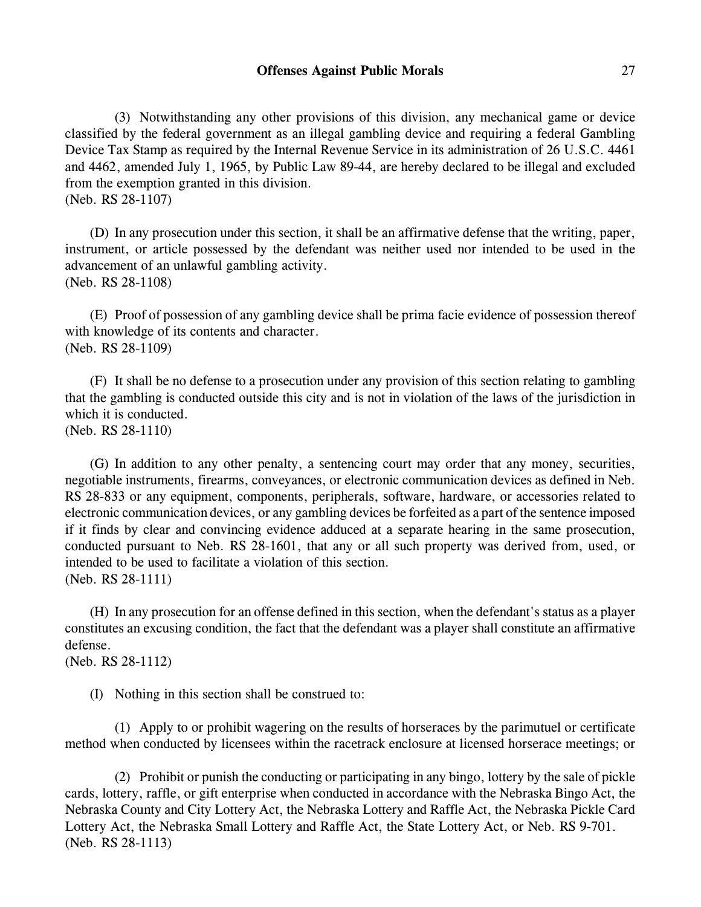#### **Offenses Against Public Morals** 27

(3) Notwithstanding any other provisions of this division, any mechanical game or device classified by the federal government as an illegal gambling device and requiring a federal Gambling Device Tax Stamp as required by the Internal Revenue Service in its administration of 26 U.S.C. 4461 and 4462, amended July 1, 1965, by Public Law 89-44, are hereby declared to be illegal and excluded from the exemption granted in this division.

(Neb. RS 28-1107)

(D) In any prosecution under this section, it shall be an affirmative defense that the writing, paper, instrument, or article possessed by the defendant was neither used nor intended to be used in the advancement of an unlawful gambling activity. (Neb. RS 28-1108)

(E) Proof of possession of any gambling device shall be prima facie evidence of possession thereof with knowledge of its contents and character. (Neb. RS 28-1109)

(F) It shall be no defense to a prosecution under any provision of this section relating to gambling that the gambling is conducted outside this city and is not in violation of the laws of the jurisdiction in which it is conducted.

(Neb. RS 28-1110)

(G) In addition to any other penalty, a sentencing court may order that any money, securities, negotiable instruments, firearms, conveyances, or electronic communication devices as defined in Neb. RS 28-833 or any equipment, components, peripherals, software, hardware, or accessories related to electronic communication devices, or any gambling devices be forfeited as a part of the sentence imposed if it finds by clear and convincing evidence adduced at a separate hearing in the same prosecution, conducted pursuant to Neb. RS 28-1601, that any or all such property was derived from, used, or intended to be used to facilitate a violation of this section. (Neb. RS 28-1111)

(H) In any prosecution for an offense defined in this section, when the defendant's status as a player constitutes an excusing condition, the fact that the defendant was a player shall constitute an affirmative defense.

(Neb. RS 28-1112)

(I) Nothing in this section shall be construed to:

(1) Apply to or prohibit wagering on the results of horseraces by the parimutuel or certificate method when conducted by licensees within the racetrack enclosure at licensed horserace meetings; or

(2) Prohibit or punish the conducting or participating in any bingo, lottery by the sale of pickle cards, lottery, raffle, or gift enterprise when conducted in accordance with the Nebraska Bingo Act, the Nebraska County and City Lottery Act, the Nebraska Lottery and Raffle Act, the Nebraska Pickle Card Lottery Act, the Nebraska Small Lottery and Raffle Act, the State Lottery Act, or Neb. RS 9-701. (Neb. RS 28-1113)